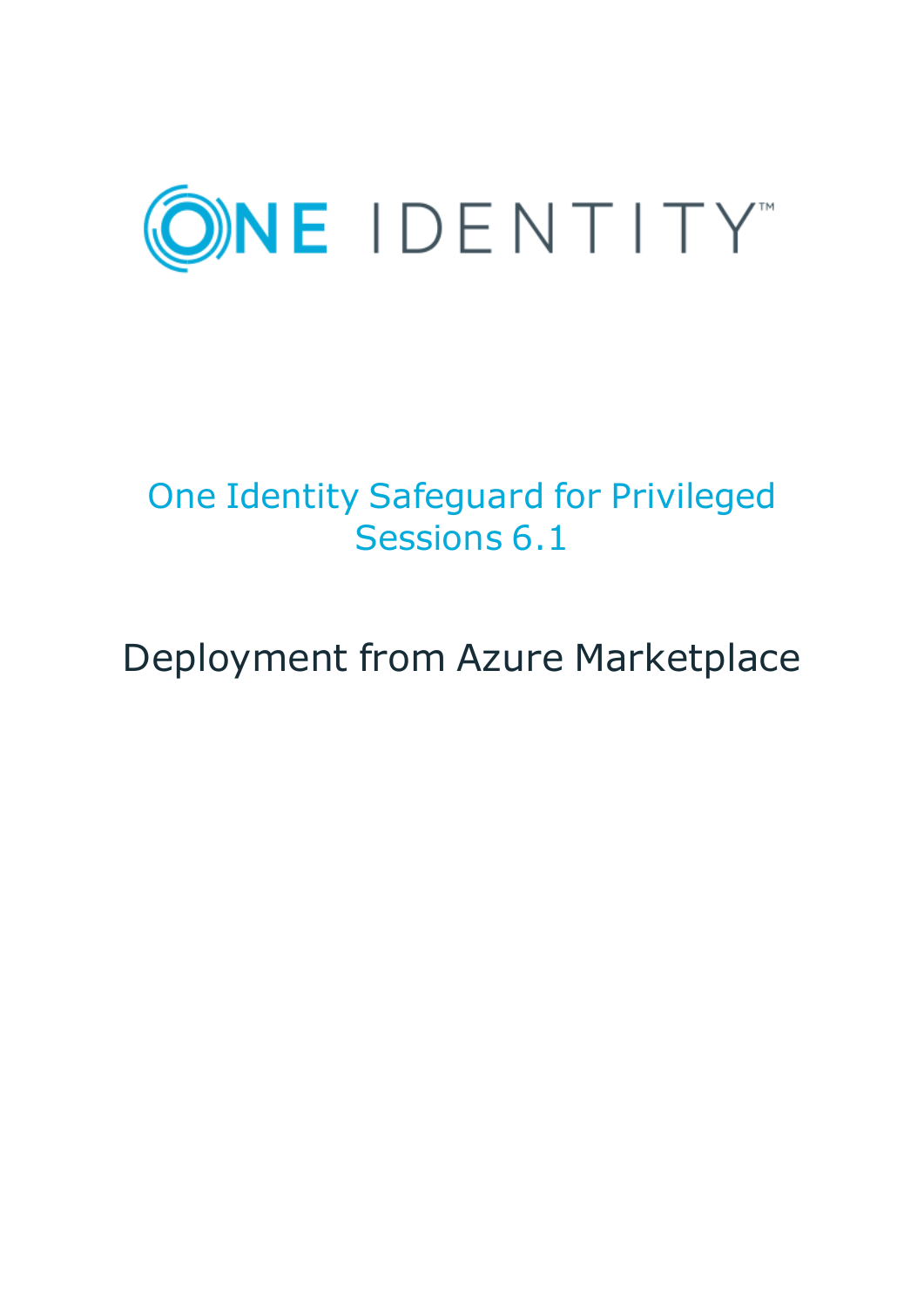

# One Identity Safeguard for Privileged Sessions 6.1

# Deployment from Azure Marketplace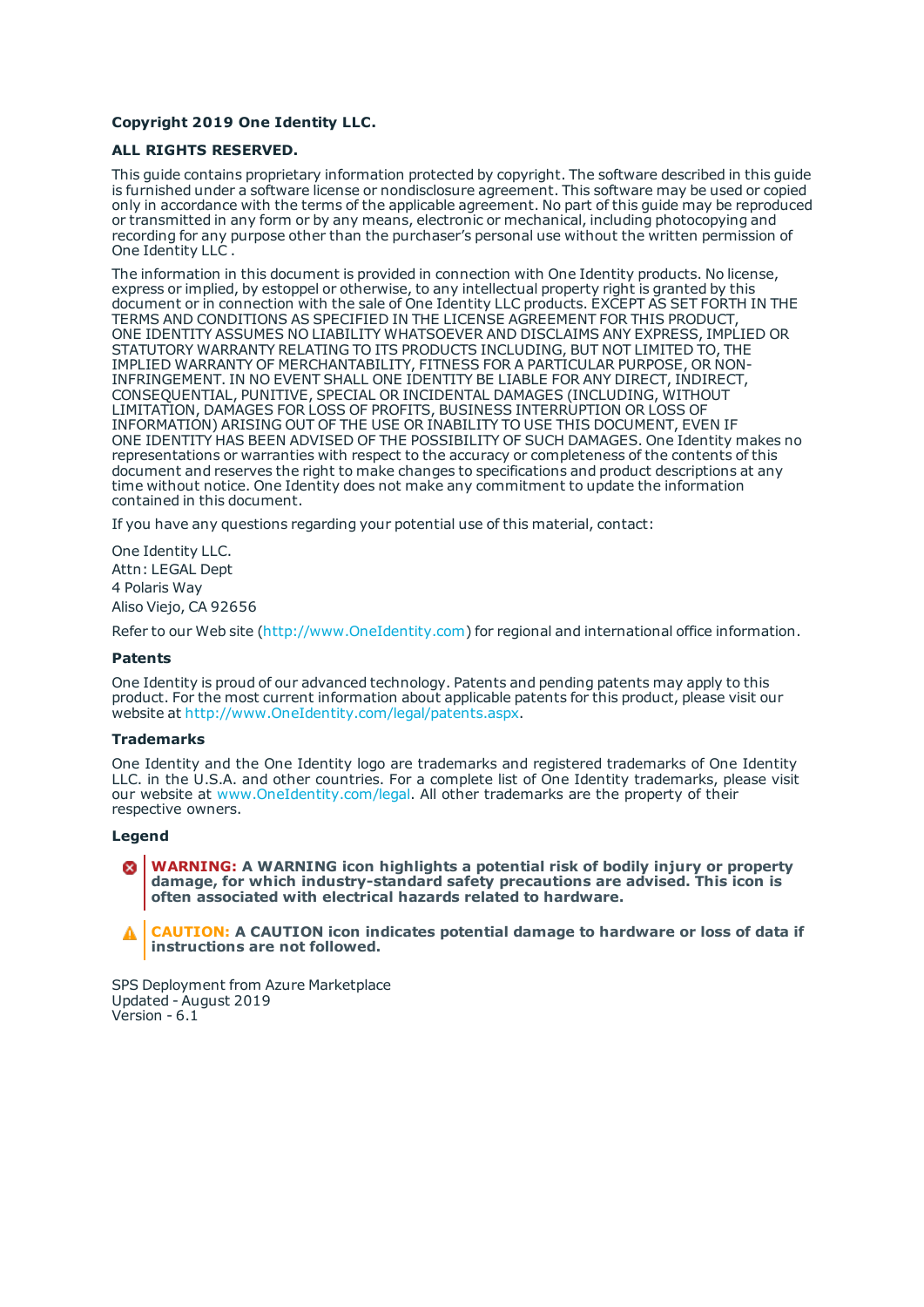#### **Copyright 2019 One Identity LLC.**

#### **ALL RIGHTS RESERVED.**

This guide contains proprietary information protected by copyright. The software described in this guide is furnished under a software license or nondisclosure agreement. This software may be used or copied only in accordance with the terms of the applicable agreement. No part of this guide may be reproduced or transmitted in any form or by any means, electronic or mechanical, including photocopying and recording for any purpose other than the purchaser's personal use without the written permission of One Identity LLC .

The information in this document is provided in connection with One Identity products. No license, express or implied, by estoppel or otherwise, to any intellectual property right is granted by this document or in connection with the sale of One Identity LLC products. EXCEPT AS SET FORTH IN THE TERMS AND CONDITIONS AS SPECIFIED IN THE LICENSE AGREEMENT FOR THIS PRODUCT, ONE IDENTITY ASSUMES NO LIABILITY WHATSOEVER AND DISCLAIMS ANY EXPRESS, IMPLIED OR STATUTORY WARRANTY RELATING TO ITS PRODUCTS INCLUDING, BUT NOT LIMITED TO, THE IMPLIED WARRANTY OF MERCHANTABILITY, FITNESS FOR A PARTICULAR PURPOSE, OR NON-INFRINGEMENT. IN NO EVENT SHALL ONE IDENTITY BE LIABLE FOR ANY DIRECT, INDIRECT, CONSEQUENTIAL, PUNITIVE, SPECIAL OR INCIDENTAL DAMAGES (INCLUDING, WITHOUT LIMITATION, DAMAGES FOR LOSS OF PROFITS, BUSINESS INTERRUPTION OR LOSS OF INFORMATION) ARISING OUT OF THE USE OR INABILITY TO USE THIS DOCUMENT, EVEN IF ONE IDENTITY HAS BEEN ADVISED OF THE POSSIBILITY OF SUCH DAMAGES. One Identity makes no representations or warranties with respect to the accuracy or completeness of the contents of this document and reserves the right to make changes to specifications and product descriptions at any time without notice. One Identity does not make any commitment to update the information contained in this document.

If you have any questions regarding your potential use of this material, contact:

One Identity LLC. Attn: LEGAL Dept 4 Polaris Way Aliso Viejo, CA 92656

Refer to our Web site ([http://www.OneIdentity.com](http://www.oneidentity.com/)) for regional and international office information.

#### **Patents**

One Identity is proud of our advanced technology. Patents and pending patents may apply to this product. For the most current information about applicable patents for this product, please visit our website at [http://www.OneIdentity.com/legal/patents.aspx](http://www.oneidentity.com/legal/patents.aspx).

#### **Trademarks**

One Identity and the One Identity logo are trademarks and registered trademarks of One Identity LLC. in the U.S.A. and other countries. For a complete list of One Identity trademarks, please visit our website at [www.OneIdentity.com/legal](http://www.oneidentity.com/legal). All other trademarks are the property of their respective owners.

#### **Legend**

**WARNING: A WARNING icon highlights a potential risk of bodily injury or property damage, for which industry-standard safety precautions are advised. This icon is often associated with electrical hazards related to hardware.**

**CAUTION: A CAUTION icon indicates potential damage to hardware or loss of data if** A **instructions are not followed.**

SPS Deployment from Azure Marketplace Updated - August 2019 Version - 6.1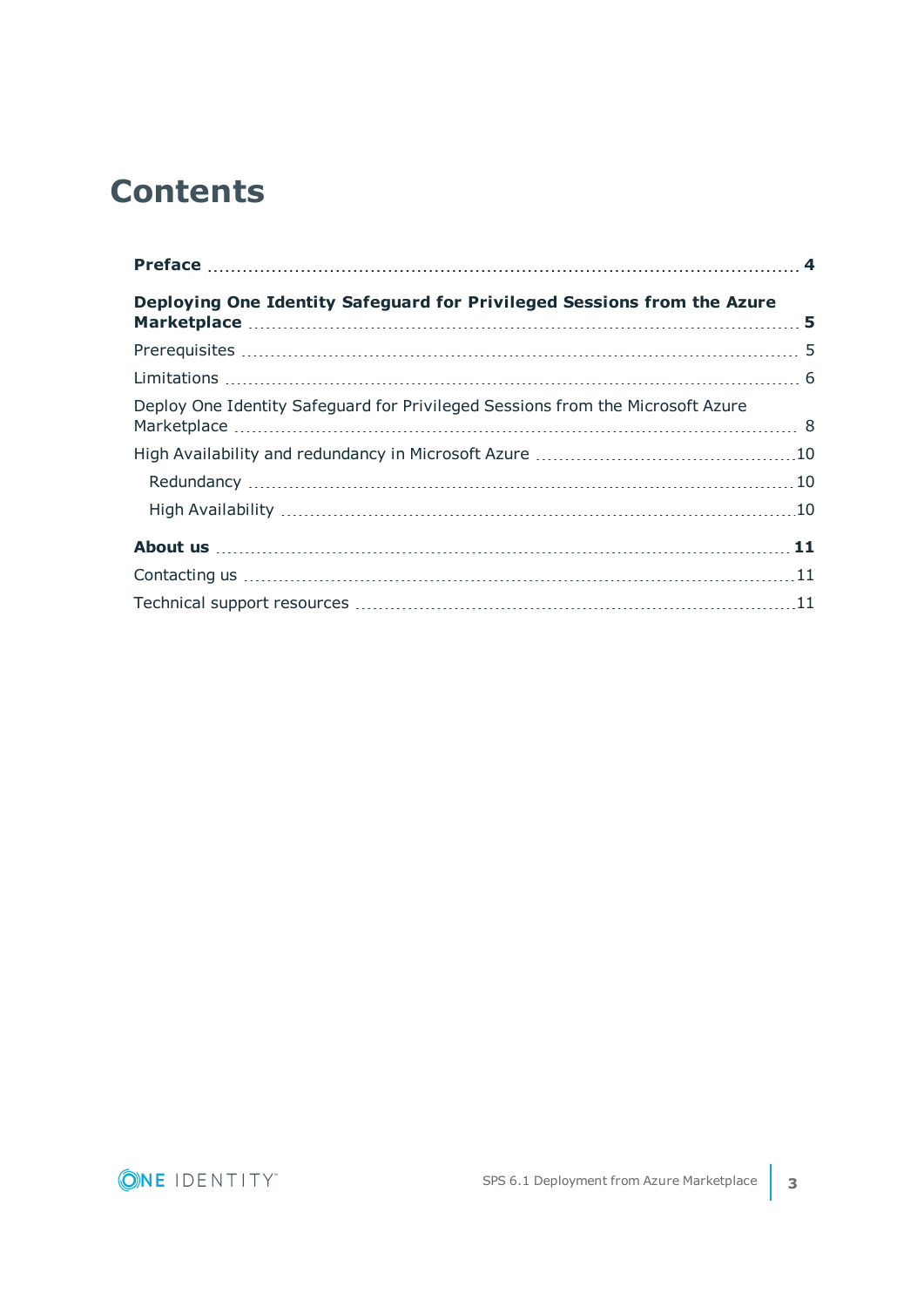## **Contents**

| Deploying One Identity Safeguard for Privileged Sessions from the Azure        |  |
|--------------------------------------------------------------------------------|--|
|                                                                                |  |
|                                                                                |  |
| Deploy One Identity Safeguard for Privileged Sessions from the Microsoft Azure |  |
|                                                                                |  |
|                                                                                |  |
|                                                                                |  |
|                                                                                |  |
|                                                                                |  |
|                                                                                |  |

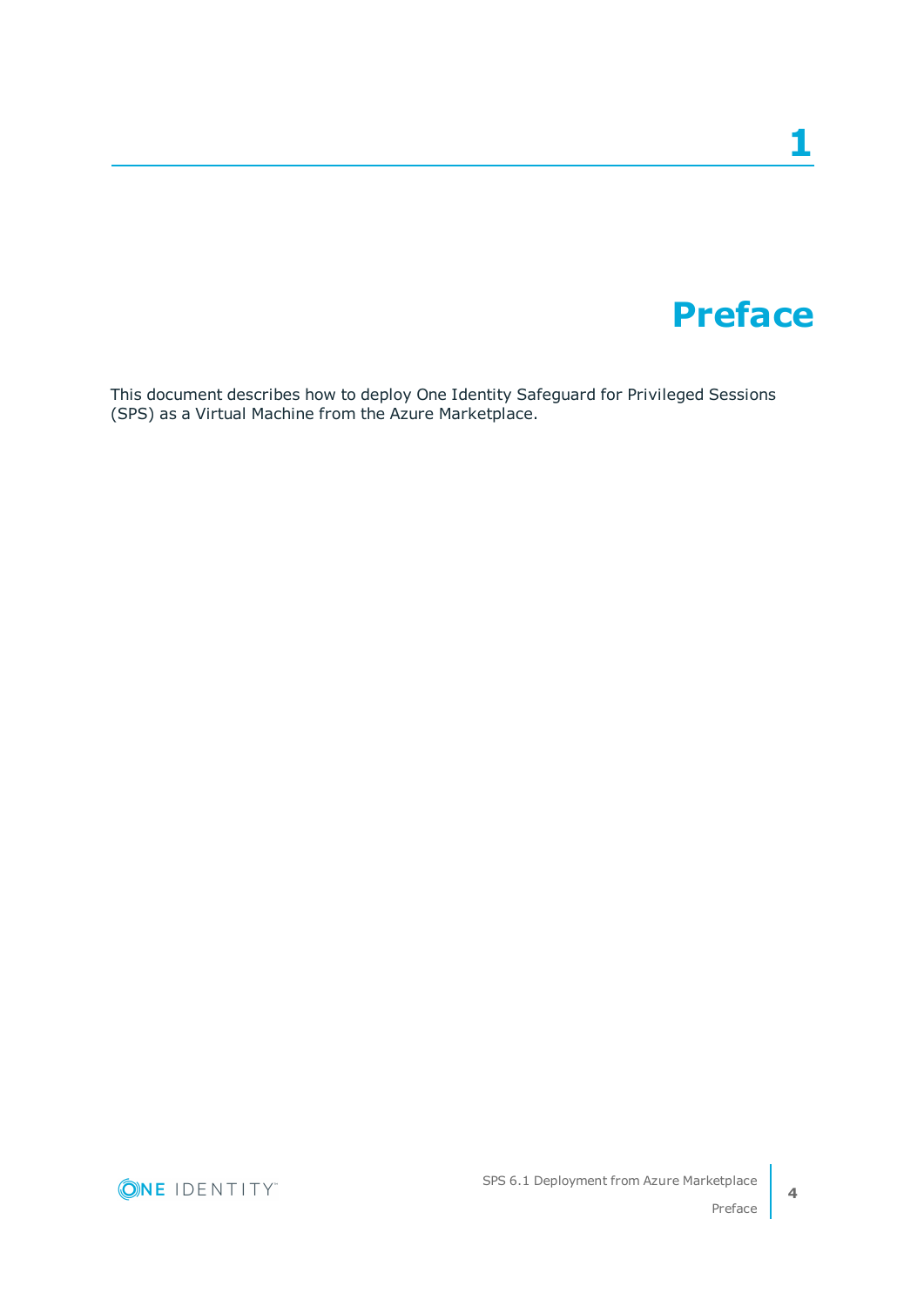# **Preface**

**1**

<span id="page-3-0"></span>This document describes how to deploy One Identity Safeguard for Privileged Sessions (SPS) as a Virtual Machine from the Azure Marketplace.



**4**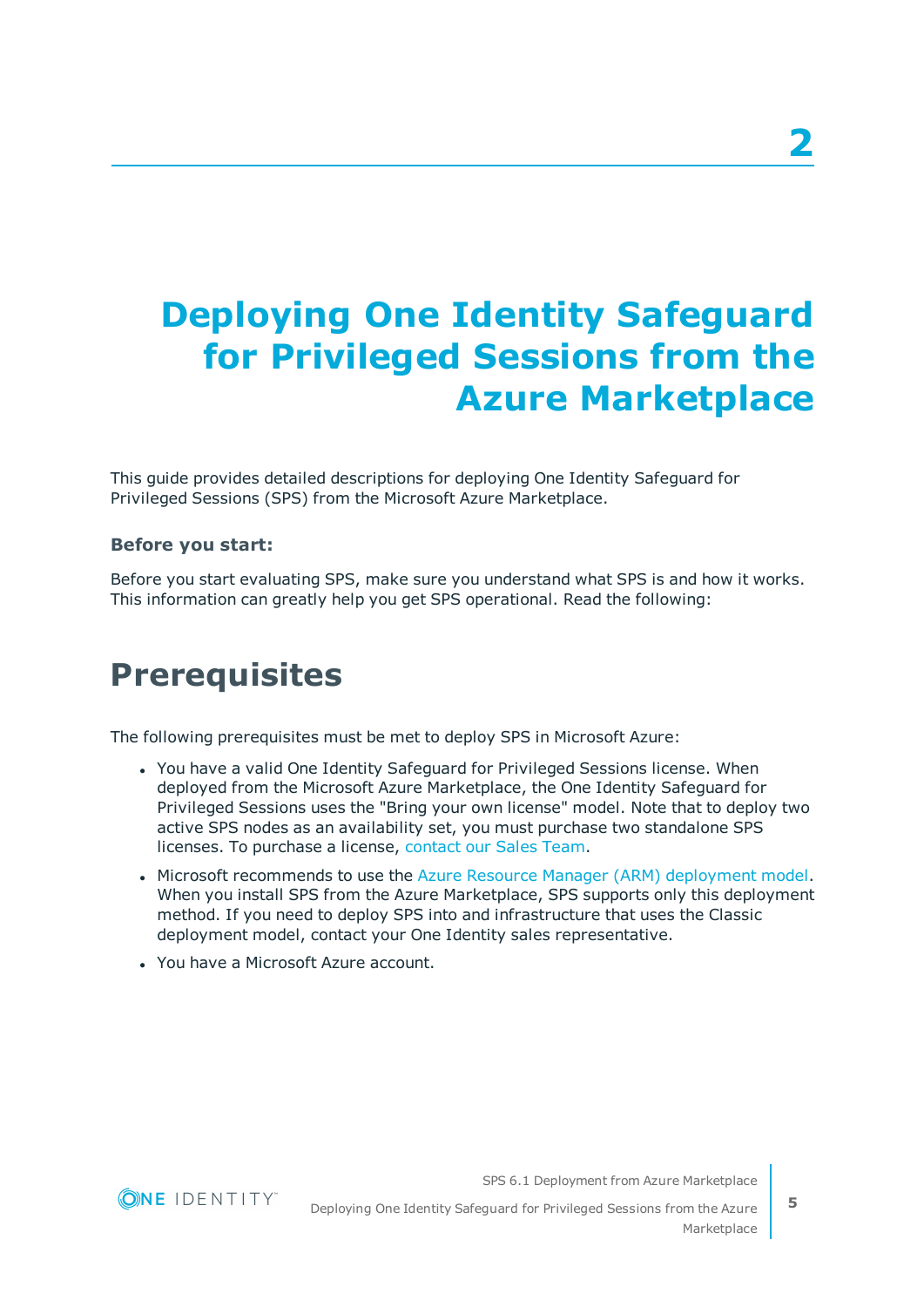# <span id="page-4-0"></span>**Deploying One Identity Safeguard for Privileged Sessions from the Azure Marketplace**

This guide provides detailed descriptions for deploying One Identity Safeguard for Privileged Sessions (SPS) from the Microsoft Azure Marketplace.

### **Before you start:**

Before you start evaluating SPS, make sure you understand what SPS is and how it works. This information can greatly help you get SPS operational. Read the following:

### <span id="page-4-1"></span>**Prerequisites**

The following prerequisites must be met to deploy SPS in Microsoft Azure:

- You have a valid One Identity Safeguard for Privileged Sessions license. When deployed from the Microsoft Azure Marketplace, the One Identity Safeguard for Privileged Sessions uses the "Bring your own license" model. Note that to deploy two active SPS nodes as an availability set, you must purchase two standalone SPS licenses. To purchase a license, [contact](https://www.oneidentity.com/buy/) our Sales Team.
- Microsoft recommends to use the Azure Resource Manager (ARM) [deployment](https://docs.microsoft.com/en-us/azure/azure-resource-manager/resource-manager-deployment-model) model. When you install SPS from the Azure Marketplace, SPS supports only this deployment method. If you need to deploy SPS into and infrastructure that uses the Classic deployment model, contact your One Identity sales representative.
- . You have a Microsoft Azure account.

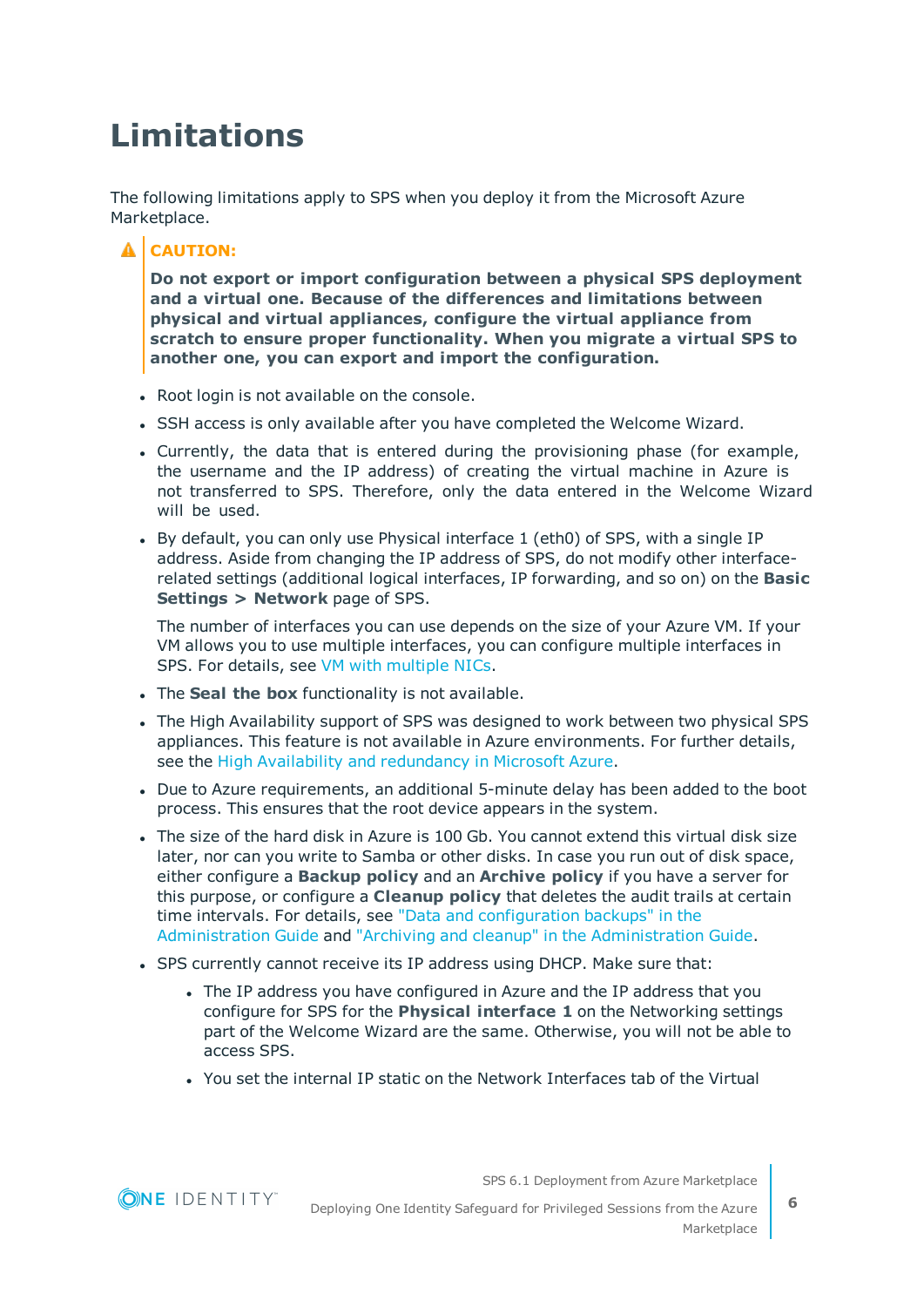# <span id="page-5-0"></span>**Limitations**

The following limitations apply to SPS when you deploy it from the Microsoft Azure Marketplace.

### **A** CAUTION:

**Do not export or import configuration between a physical SPS deployment and a virtual one. Because of the differences and limitations between physical and virtual appliances, configure the virtual appliance from scratch to ensure proper functionality. When you migrate a virtual SPS to another one, you can export and import the configuration.**

- Root login is not available on the console.
- SSH access is only available after you have completed the Welcome Wizard.
- Currently, the data that is entered during the provisioning phase (for example, the username and the IP address) of creating the virtual machine in Azure is not transferred to SPS. Therefore, only the data entered in the Welcome Wizard will be used.
- By default, you can only use Physical interface 1 (eth0) of SPS, with a single IP address. Aside from changing the IP address of SPS, do not modify other interfacerelated settings (additional logical interfaces, IP forwarding, and so on) on the **Basic Settings > Network** page of SPS.

The number of interfaces you can use depends on the size of your Azure VM. If your VM allows you to use multiple interfaces, you can configure multiple interfaces in SPS. For details, see VM with [multiple](https://docs.microsoft.com/en-us/azure/virtual-network/virtual-network-deploy-multinic-classic-ps) NICs.

- **.** The **Seal the box** functionality is not available.
- The High Availability support of SPS was designed to work between two physical SPS appliances. This feature is not available in Azure environments. For further details, see the High Availability and [redundancy](#page-9-0) in Microsoft Azure.
- Due to Azure requirements, an additional 5-minute delay has been added to the boot process. This ensures that the root device appears in the system.
- The size of the hard disk in Azure is 100 Gb. You cannot extend this virtual disk size later, nor can you write to Samba or other disks. In case you run out of disk space, either configure a **Backup policy** and an **Archive policy** if you have a server for this purpose, or configure a **Cleanup policy** that deletes the audit trails at certain time intervals. For details, see "Data and [configuration](https://support.oneidentity.com/technical-documents/safeguard-for-privileged-sessions/6.1.0/administration-guide/basic-settings/data-and-configuration-backups/) backups" in the [Administration](https://support.oneidentity.com/technical-documents/safeguard-for-privileged-sessions/6.1.0/administration-guide/basic-settings/data-and-configuration-backups/) Guide and "Archiving and cleanup" in the [Administration](https://support.oneidentity.com/technical-documents/safeguard-for-privileged-sessions/6.1.0/administration-guide/basic-settings/archiving-and-cleanup/) Guide.
- SPS currently cannot receive its IP address using DHCP. Make sure that:
	- The IP address you have configured in Azure and the IP address that you configure for SPS for the **Physical interface 1** on the Networking settings part of the Welcome Wizard are the same. Otherwise, you will not be able to access SPS.
	- You set the internal IP static on the Network Interfaces tab of the Virtual

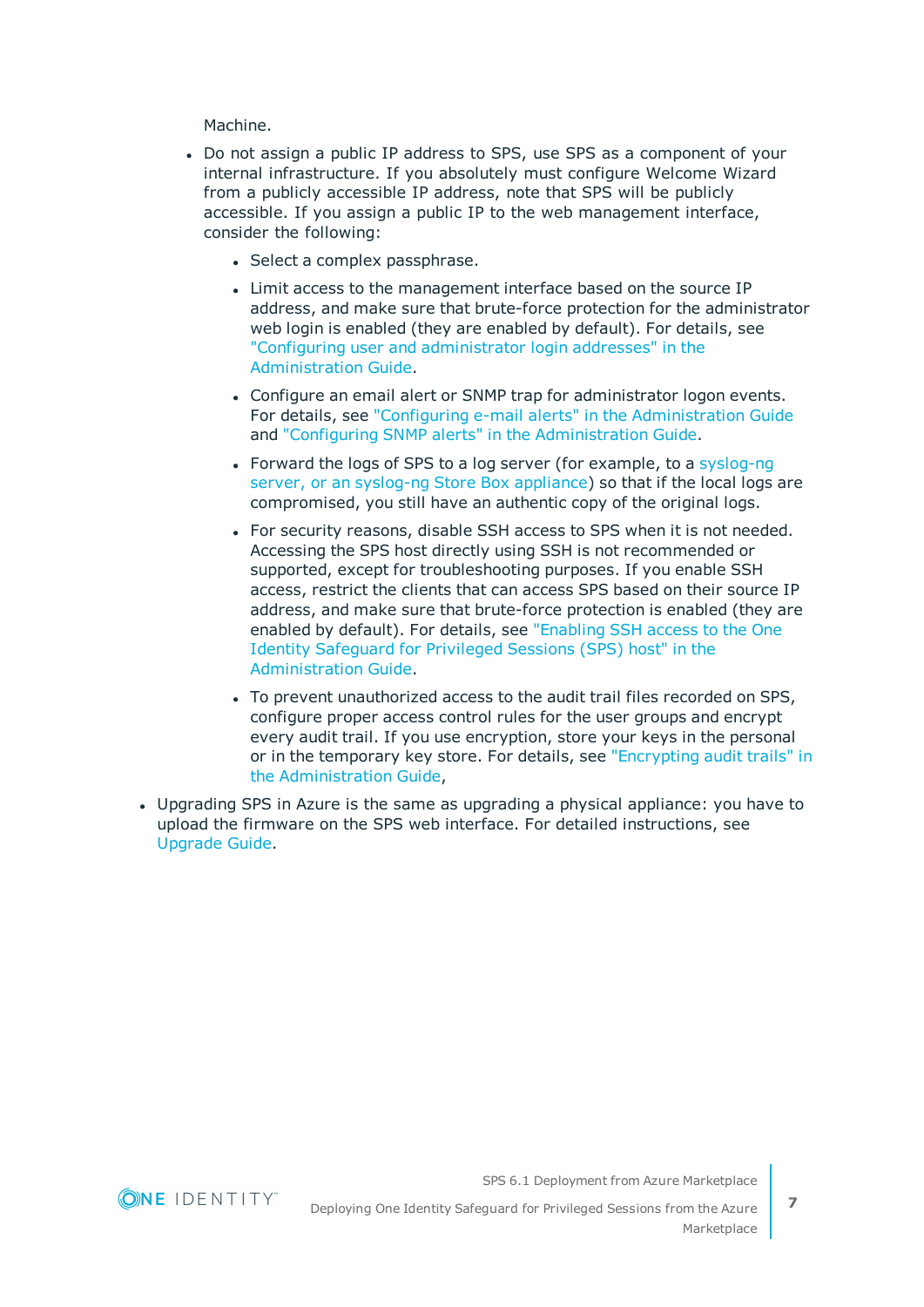Machine.

- Do not assign a public IP address to SPS, use SPS as a component of your internal infrastructure. If you absolutely must configure Welcome Wizard from a publicly accessible IP address, note that SPS will be publicly accessible. If you assign a public IP to the web management interface, consider the following:
	- Select a complex passphrase.
	- Limit access to the management interface based on the source IP address, and make sure that brute-force protection for the administrator web login is enabled (they are enabled by default). For details, see "Configuring user and [administrator](https://support.oneidentity.com/technical-documents/safeguard-for-privileged-sessions/6.1.0/administration-guide/basic-settings/network-settings/configuring-user-and-administrator-login-addresses/) login addresses" in the [Administration](https://support.oneidentity.com/technical-documents/safeguard-for-privileged-sessions/6.1.0/administration-guide/basic-settings/network-settings/configuring-user-and-administrator-login-addresses/) Guide.
	- Configure an email alert or SNMP trap for administrator logon events. For details, see "Configuring e-mail alerts" in the [Administration](https://support.oneidentity.com/technical-documents/safeguard-for-privileged-sessions/6.1.0/administration-guide/basic-settings/ system-logging-snmp-and-e-mail-alerts/configuring-e-mail-alerts/) Guide and "Configuring SNMP alerts" in the [Administration](https://support.oneidentity.com/technical-documents/safeguard-for-privileged-sessions/6.1.0/administration-guide/basic-settings/ system-logging-snmp-and-e-mail-alerts/configuring-snmp-alerts/) Guide.
	- Forward the logs of SPS to a log server (for example, to a [syslog-ng](https://syslog-ng.com/) server, or an [syslog-ng](https://syslog-ng.com/) Store Box appliance) so that if the local logs are compromised, you still have an authentic copy of the original logs.
	- For security reasons, disable SSH access to SPS when it is not needed. Accessing the SPS host directly using SSH is not recommended or supported, except for troubleshooting purposes. If you enable SSH access, restrict the clients that can access SPS based on their source IP address, and make sure that brute-force protection is enabled (they are enabled by default). For details, see ["Enabling](https://support.oneidentity.com/technical-documents/safeguard-for-privileged-sessions/6.1.0/administration-guide/managing-one-identity-safeguard-for-privileged-sessions-sps/accessing-the-one-identity-safeguard-for-privileged-sessions-sps-console/enabling-ssh-access-to-the-one-identity-safeguard-for-privileged-sessions-sps-host/) SSH access to the One Identity [Safeguard](https://support.oneidentity.com/technical-documents/safeguard-for-privileged-sessions/6.1.0/administration-guide/managing-one-identity-safeguard-for-privileged-sessions-sps/accessing-the-one-identity-safeguard-for-privileged-sessions-sps-console/enabling-ssh-access-to-the-one-identity-safeguard-for-privileged-sessions-sps-host/) for Privileged Sessions (SPS) host" in the [Administration](https://support.oneidentity.com/technical-documents/safeguard-for-privileged-sessions/6.1.0/administration-guide/managing-one-identity-safeguard-for-privileged-sessions-sps/accessing-the-one-identity-safeguard-for-privileged-sessions-sps-console/enabling-ssh-access-to-the-one-identity-safeguard-for-privileged-sessions-sps-host/) Guide.
	- To prevent unauthorized access to the audit trail files recorded on SPS, configure proper access control rules for the user groups and encrypt every audit trail. If you use encryption, store your keys in the personal or in the temporary key store. For details, see ["Encrypting](https://support.oneidentity.com/technical-documents/safeguard-for-privileged-sessions/6.1.0/administration-guide/general-connection-settings/audit-policies/encrypting-audit-trails/) audit trails" in the [Administration](https://support.oneidentity.com/technical-documents/safeguard-for-privileged-sessions/6.1.0/administration-guide/general-connection-settings/audit-policies/encrypting-audit-trails/) Guide,
- Upgrading SPS in Azure is the same as upgrading a physical appliance: you have to upload the firmware on the SPS web interface. For detailed instructions, see [Upgrade](https://support.oneidentity.com/technical-documents/safeguard-for-privileged-sessions/6.1.0/upgrade-guide/) Guide.

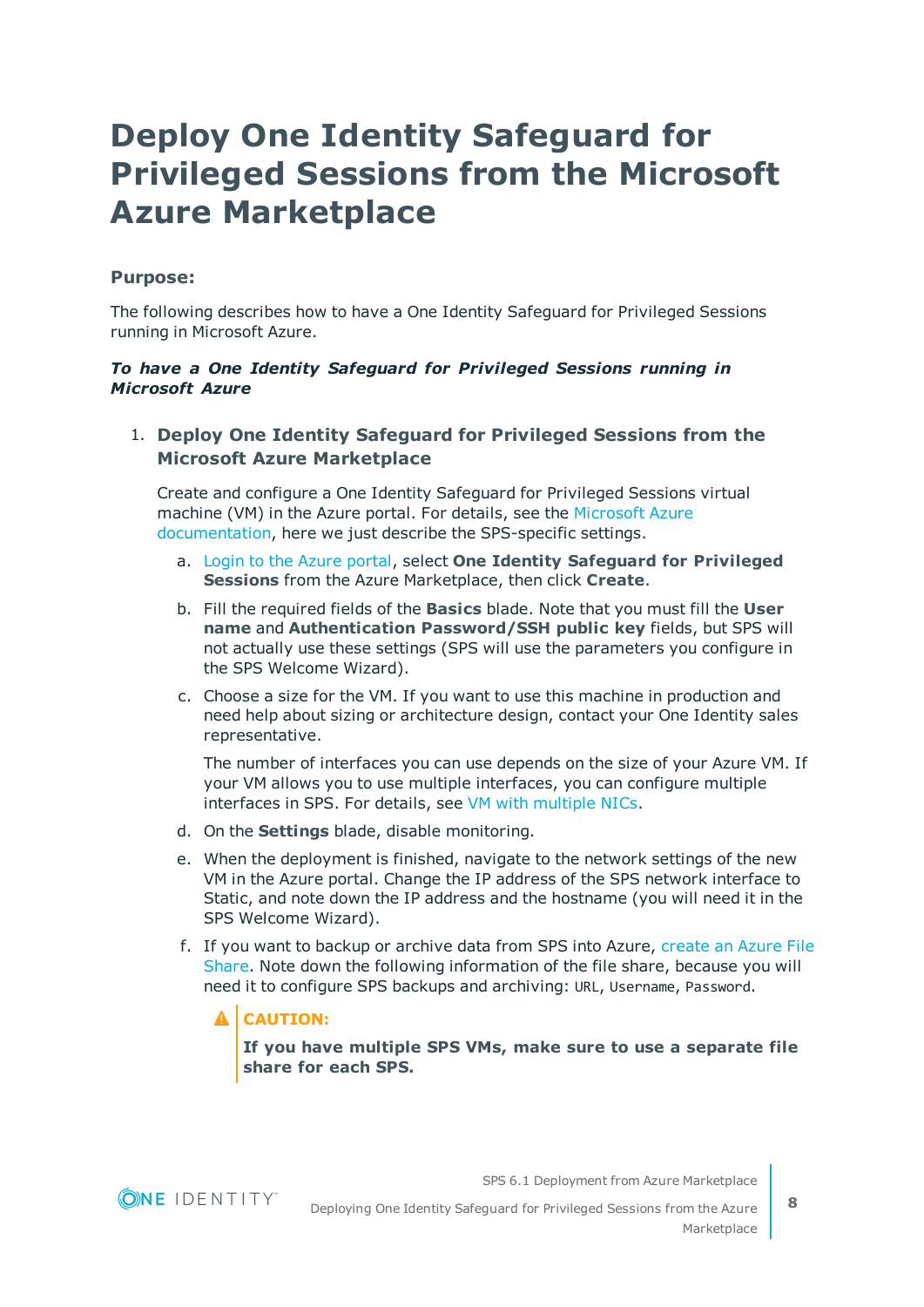## <span id="page-7-0"></span>**Deploy One Identity Safeguard for Privileged Sessions from the Microsoft Azure Marketplace**

### **Purpose:**

The following describes how to have a One Identity Safeguard for Privileged Sessions running in Microsoft Azure.

#### *To have a One Identity Safeguard for Privileged Sessions running in Microsoft Azure*

### 1. **Deploy One Identity Safeguard for Privileged Sessions from the Microsoft Azure Marketplace**

Create and configure a One Identity Safeguard for Privileged Sessions virtual machine (VM) in the Azure portal. For details, see the [Microsoft](https://docs.microsoft.com/en-us/azure/virtual-machines/windows/quick-create-portal) Azure [documentation,](https://docs.microsoft.com/en-us/azure/virtual-machines/windows/quick-create-portal) here we just describe the SPS-specific settings.

- a. Login to the Azure [portal,](https://portal.azure.com/) select **One Identity Safeguard for Privileged Sessions** from the Azure Marketplace, then click **Create**.
- b. Fill the required fields of the **Basics** blade. Note that you must fill the **User name** and **Authentication Password/SSH public key** fields, but SPS will not actually use these settings (SPS will use the parameters you configure in the SPS Welcome Wizard).
- c. Choose a size for the VM. If you want to use this machine in production and need help about sizing or architecture design, contact your One Identity sales representative.

The number of interfaces you can use depends on the size of your Azure VM. If your VM allows you to use multiple interfaces, you can configure multiple interfaces in SPS. For details, see VM with [multiple](https://docs.microsoft.com/en-us/azure/virtual-network/virtual-network-deploy-multinic-classic-ps) NICs.

- d. On the **Settings** blade, disable monitoring.
- e. When the deployment is finished, navigate to the network settings of the new VM in the Azure portal. Change the IP address of the SPS network interface to Static, and note down the IP address and the hostname (you will need it in the SPS Welcome Wizard).
- f. If you want to backup or archive data from SPS into Azure, [create](https://docs.microsoft.com/en-us/azure/storage/files/storage-dotnet-how-to-use-files#use-the-azure-portal-to-manage-a-file-share) an Azure File [Share](https://docs.microsoft.com/en-us/azure/storage/files/storage-dotnet-how-to-use-files#use-the-azure-portal-to-manage-a-file-share). Note down the following information of the file share, because you will need it to configure SPS backups and archiving: URL, Username, Password.

### **A** CAUTION:

**If you have multiple SPS VMs, make sure to use a separate file share for each SPS.**

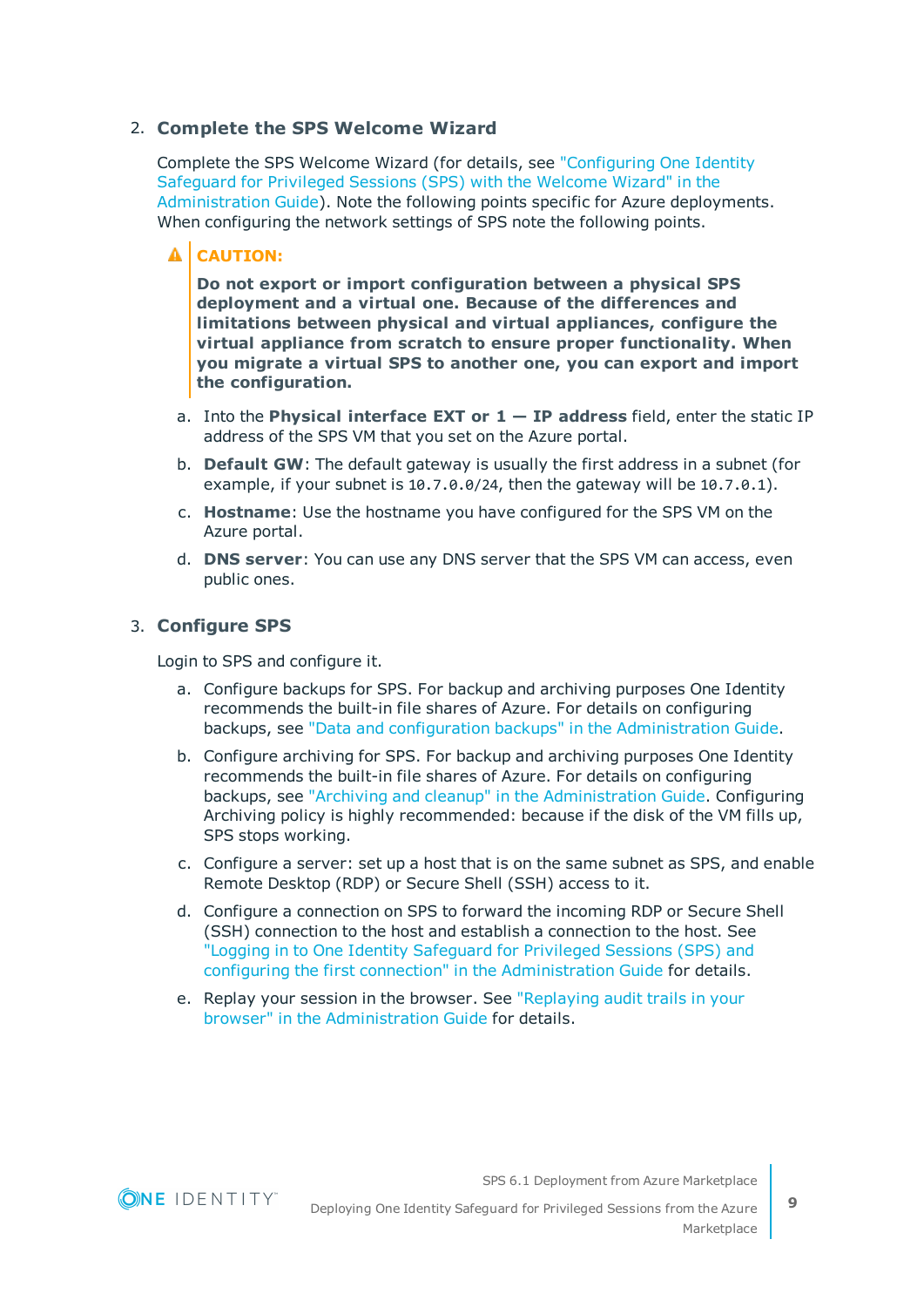#### 2. **Complete the SPS Welcome Wizard**

Complete the SPS Welcome Wizard (for details, see ["Configuring](https://support.oneidentity.com/technical-documents/safeguard-for-privileged-sessions/6.1.0/administration-guide/the-welcome-wizard-and-the-first-login/configuring-one-identity-safeguard-for-privileged-sessions-sps-with-the-welcome-wizard/) One Identity [Safeguard](https://support.oneidentity.com/technical-documents/safeguard-for-privileged-sessions/6.1.0/administration-guide/the-welcome-wizard-and-the-first-login/configuring-one-identity-safeguard-for-privileged-sessions-sps-with-the-welcome-wizard/) for Privileged Sessions (SPS) with the Welcome Wizard" in the [Administration](https://support.oneidentity.com/technical-documents/safeguard-for-privileged-sessions/6.1.0/administration-guide/the-welcome-wizard-and-the-first-login/configuring-one-identity-safeguard-for-privileged-sessions-sps-with-the-welcome-wizard/) Guide). Note the following points specific for Azure deployments. When configuring the network settings of SPS note the following points.

#### A **CAUTION:**

**Do not export or import configuration between a physical SPS deployment and a virtual one. Because of the differences and limitations between physical and virtual appliances, configure the virtual appliance from scratch to ensure proper functionality. When you migrate a virtual SPS to another one, you can export and import the configuration.**

- a. Into the **Physical interface EXT or 1 — IP address** field, enter the static IP address of the SPS VM that you set on the Azure portal.
- b. **Default GW**: The default gateway is usually the first address in a subnet (for example, if your subnet is 10.7.0.0/24, then the gateway will be 10.7.0.1).
- c. **Hostname**: Use the hostname you have configured for the SPS VM on the Azure portal.
- d. **DNS server**: You can use any DNS server that the SPS VM can access, even public ones.

#### 3. **Configure SPS**

Login to SPS and configure it.

- a. Configure backups for SPS. For backup and archiving purposes One Identity recommends the built-in file shares of Azure. For details on configuring backups, see "Data and configuration backups" in the [Administration](https://support.oneidentity.com/technical-documents/safeguard-for-privileged-sessions/6.1.0/administration-guide/basic-settings/data-and-configuration-backups/) Guide.
- b. Configure archiving for SPS. For backup and archiving purposes One Identity recommends the built-in file shares of Azure. For details on configuring backups, see "Archiving and cleanup" in the [Administration](https://support.oneidentity.com/technical-documents/safeguard-for-privileged-sessions/6.1.0/administration-guide/basic-settings/archiving-and-cleanup/) Guide. Configuring Archiving policy is highly recommended: because if the disk of the VM fills up, SPS stops working.
- c. Configure a server: set up a host that is on the same subnet as SPS, and enable Remote Desktop (RDP) or Secure Shell (SSH) access to it.
- d. Configure a connection on SPS to forward the incoming RDP or Secure Shell (SSH) connection to the host and establish a connection to the host. See "Logging in to One Identity [Safeguard](https://support.oneidentity.com/technical-documents/safeguard-for-privileged-sessions/6.1.0/administration-guide/the-welcome-wizard-and-the-first-login/logging-in-to-one-identity-safeguard-for-privileged-sessions-sps-and-configuring-the-first-connection/) for Privileged Sessions (SPS) and configuring the first connection" in the [Administration](https://support.oneidentity.com/technical-documents/safeguard-for-privileged-sessions/6.1.0/administration-guide/the-welcome-wizard-and-the-first-login/logging-in-to-one-identity-safeguard-for-privileged-sessions-sps-and-configuring-the-first-connection/) Guide for details.
- e. Replay your session in the browser. See ["Replaying](https://support.oneidentity.com/technical-documents/safeguard-for-privileged-sessions/6.1.0/administration-guide/using-the-search-interface/replaying-audit-trails-in-your-browser/) audit trails in your browser" in the [Administration](https://support.oneidentity.com/technical-documents/safeguard-for-privileged-sessions/6.1.0/administration-guide/using-the-search-interface/replaying-audit-trails-in-your-browser/) Guide for details.

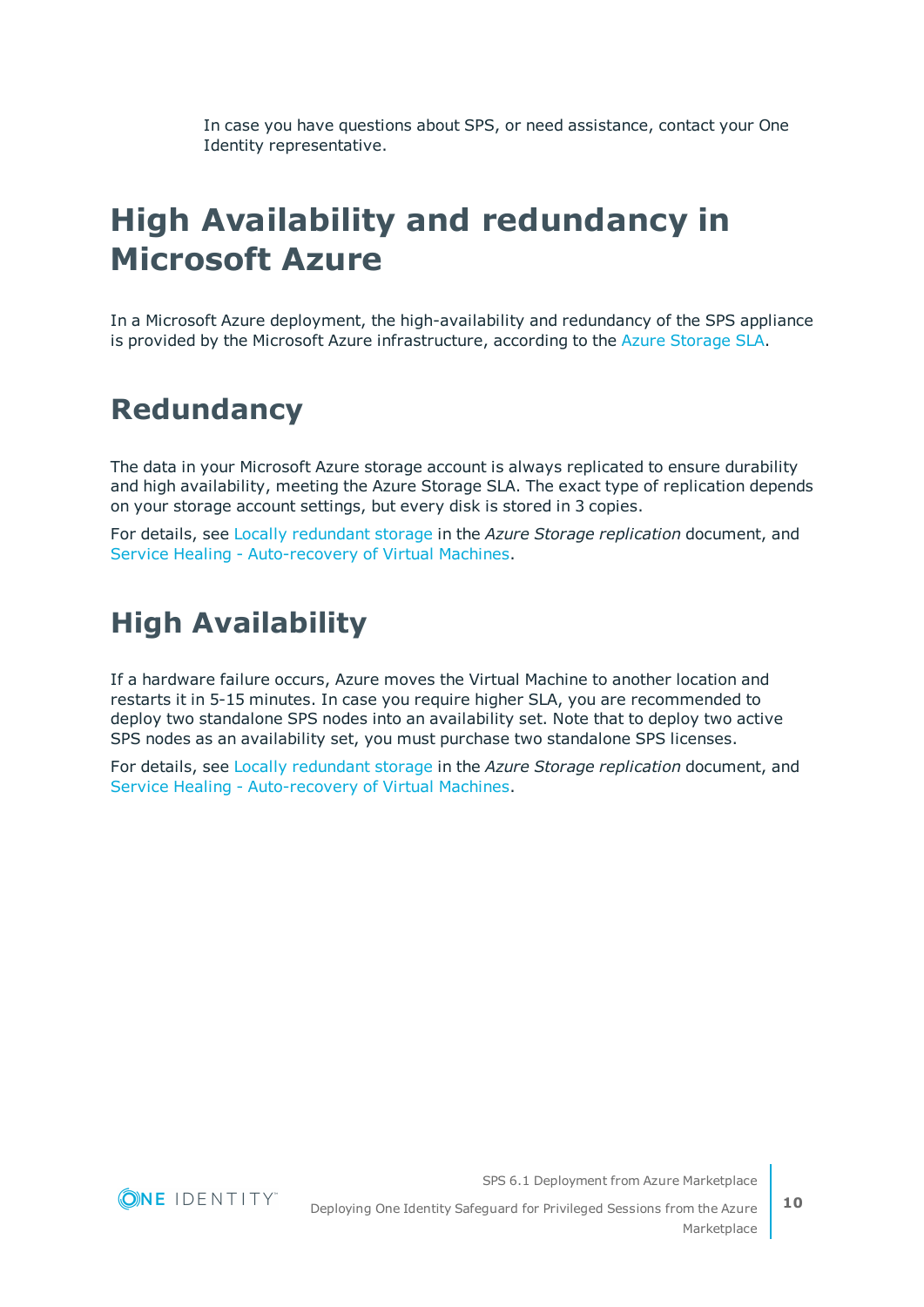In case you have questions about SPS, or need assistance, contact your One Identity representative.

# <span id="page-9-0"></span>**High Availability and redundancy in Microsoft Azure**

In a Microsoft Azure deployment, the high-availability and redundancy of the SPS appliance is provided by the Microsoft Azure infrastructure, according to the Azure [Storage](https://azure.microsoft.com/en-us/support/legal/sla/storage/v1_1/) SLA.

### <span id="page-9-1"></span>**Redundancy**

The data in your Microsoft Azure storage account is always replicated to ensure durability and high availability, meeting the Azure Storage SLA. The exact type of replication depends on your storage account settings, but every disk is stored in 3 copies.

For details, see Locally [redundant](https://docs.microsoft.com/en-us/azure/storage/common/storage-redundancy#locally-redundant-storage) storage in the *Azure Storage replication* document, and Service Healing - [Auto-recovery](https://azure.microsoft.com/en-us/blog/service-healing-auto-recovery-of-virtual-machines/) of Virtual Machines.

### <span id="page-9-2"></span>**High Availability**

If a hardware failure occurs, Azure moves the Virtual Machine to another location and restarts it in 5-15 minutes. In case you require higher SLA, you are recommended to deploy two standalone SPS nodes into an availability set. Note that to deploy two active SPS nodes as an availability set, you must purchase two standalone SPS licenses.

For details, see Locally [redundant](https://docs.microsoft.com/en-us/azure/storage/common/storage-redundancy#locally-redundant-storage) storage in the *Azure Storage replication* document, and Service Healing - [Auto-recovery](https://azure.microsoft.com/en-us/blog/service-healing-auto-recovery-of-virtual-machines/) of Virtual Machines.